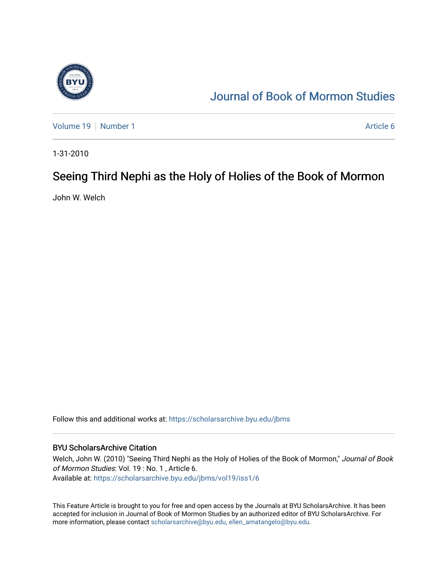

# [Journal of Book of Mormon Studies](https://scholarsarchive.byu.edu/jbms)

[Volume 19](https://scholarsarchive.byu.edu/jbms/vol19) [Number 1](https://scholarsarchive.byu.edu/jbms/vol19/iss1) Article 6

1-31-2010

# Seeing Third Nephi as the Holy of Holies of the Book of Mormon

John W. Welch

Follow this and additional works at: [https://scholarsarchive.byu.edu/jbms](https://scholarsarchive.byu.edu/jbms?utm_source=scholarsarchive.byu.edu%2Fjbms%2Fvol19%2Fiss1%2F6&utm_medium=PDF&utm_campaign=PDFCoverPages) 

## BYU ScholarsArchive Citation

Welch, John W. (2010) "Seeing Third Nephi as the Holy of Holies of the Book of Mormon," Journal of Book of Mormon Studies: Vol. 19 : No. 1 , Article 6. Available at: [https://scholarsarchive.byu.edu/jbms/vol19/iss1/6](https://scholarsarchive.byu.edu/jbms/vol19/iss1/6?utm_source=scholarsarchive.byu.edu%2Fjbms%2Fvol19%2Fiss1%2F6&utm_medium=PDF&utm_campaign=PDFCoverPages) 

This Feature Article is brought to you for free and open access by the Journals at BYU ScholarsArchive. It has been accepted for inclusion in Journal of Book of Mormon Studies by an authorized editor of BYU ScholarsArchive. For more information, please contact [scholarsarchive@byu.edu, ellen\\_amatangelo@byu.edu.](mailto:scholarsarchive@byu.edu,%20ellen_amatangelo@byu.edu)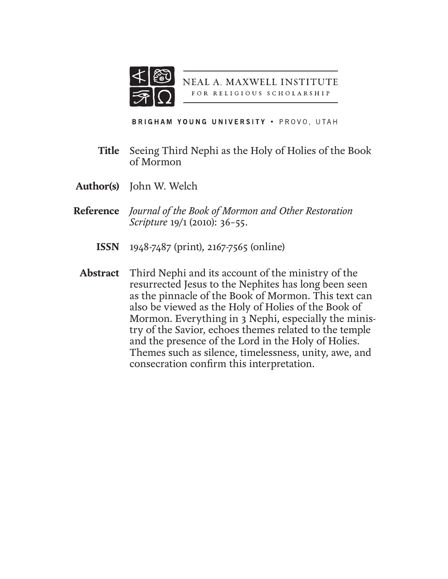

**NEAL A. MAXWELL INSTITUTE** FOR RELIGIOUS SCHOLARSHIP

BRIGHAM YOUNG UNIVERSITY . PROVO, UTAH

- Seeing Third Nephi as the Holy of Holies of the Book of Mormon **Title**
- **Author(s)** John W. Welch
- *Journal of the Book of Mormon and Other Restoration*  **Reference** *Scripture* 19/1 (2010): 36–55.
	- 1948-7487 (print), 2167-7565 (online) **ISSN**
	- Third Nephi and its account of the ministry of the resurrected Jesus to the Nephites has long been seen as the pinnacle of the Book of Mormon. This text can also be viewed as the Holy of Holies of the Book of Mormon. Everything in 3 Nephi, especially the ministry of the Savior, echoes themes related to the temple and the presence of the Lord in the Holy of Holies. Themes such as silence, timelessness, unity, awe, and consecration confirm this interpretation. **Abstract**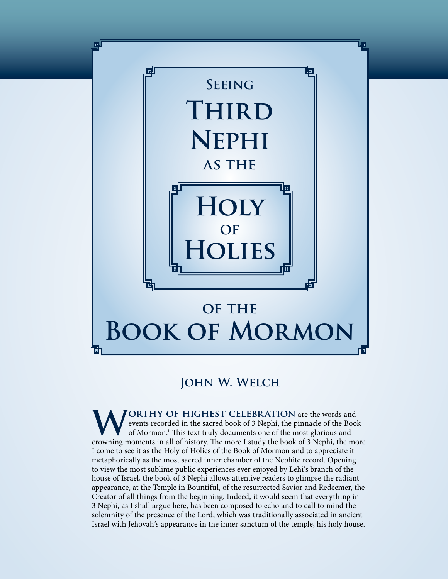

# **John W. Welch**

**WORTHY OF HIGHEST CELEBRATION** are the words and<br>events recorded in the sacred book of 3 Nephi, the pinnacle of the Bool<br>of Mormon.<sup>1</sup> This text truly documents one of the most glorious and<br>crowning moments in all of hist events recorded in the sacred book of 3 Nephi, the pinnacle of the Book of Mormon.1 This text truly documents one of the most glorious and crowning moments in all of history. The more I study the book of 3 Nephi, the more I come to see it as the Holy of Holies of the Book of Mormon and to appreciate it metaphorically as the most sacred inner chamber of the Nephite record. Opening to view the most sublime public experiences ever enjoyed by Lehi's branch of the house of Israel, the book of 3 Nephi allows attentive readers to glimpse the radiant appearance, at the Temple in Bountiful, of the resurrected Savior and Redeemer, the Creator of all things from the beginning. Indeed, it would seem that everything in 3 Nephi, as I shall argue here, has been composed to echo and to call to mind the solemnity of the presence of the Lord, which was traditionally associated in ancient Israel with Jehovah's appearance in the inner sanctum of the temple, his holy house.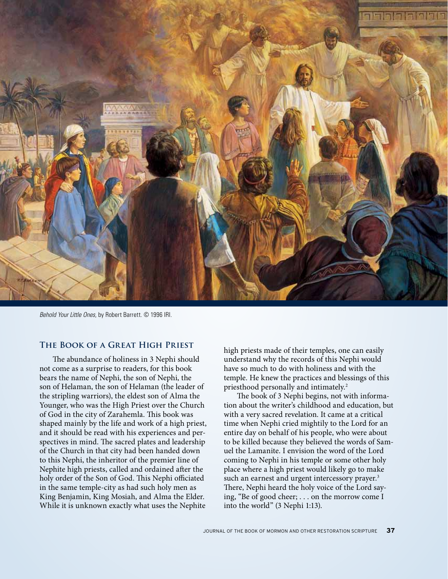

*Behold Your Little Ones*, by Robert Barrett. © 1996 IRI.

## **The Book of a Great High Priest**

The abundance of holiness in 3 Nephi should not come as a surprise to readers, for this book bears the name of Nephi, the son of Nephi, the son of Helaman, the son of Helaman (the leader of the stripling warriors), the eldest son of Alma the Younger, who was the High Priest over the Church of God in the city of Zarahemla. This book was shaped mainly by the life and work of a high priest, and it should be read with his experiences and perspectives in mind. The sacred plates and leadership of the Church in that city had been handed down to this Nephi, the inheritor of the premier line of Nephite high priests, called and ordained after the holy order of the Son of God. This Nephi officiated in the same temple-city as had such holy men as King Benjamin, King Mosiah, and Alma the Elder. While it is unknown exactly what uses the Nephite

high priests made of their temples, one can easily understand why the records of this Nephi would have so much to do with holiness and with the temple. He knew the practices and blessings of this priesthood personally and intimately.<sup>2</sup>

The book of 3 Nephi begins, not with information about the writer's childhood and education, but with a very sacred revelation. It came at a critical time when Nephi cried mightily to the Lord for an entire day on behalf of his people, who were about to be killed because they believed the words of Samuel the Lamanite. I envision the word of the Lord coming to Nephi in his temple or some other holy place where a high priest would likely go to make such an earnest and urgent intercessory prayer.<sup>3</sup> There, Nephi heard the holy voice of the Lord saying, "Be of good cheer; . . . on the morrow come I into the world" (3 Nephi 1:13).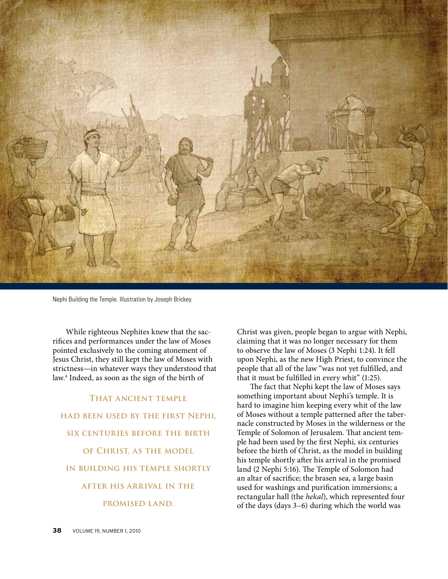

Nephi Building the Temple. Illustration by Joseph Brickey.

While righteous Nephites knew that the sacrifices and performances under the law of Moses pointed exclusively to the coming atonement of Jesus Christ, they still kept the law of Moses with strictness—in whatever ways they understood that law.4 Indeed, as soon as the sign of the birth of

**That ancient temple had been used by the first Nephi, six centuries before the birth of Christ, as the model in building his temple shortly after his arrival in the promised land.**

Christ was given, people began to argue with Nephi, claiming that it was no longer necessary for them to observe the law of Moses (3 Nephi 1:24). It fell upon Nephi, as the new High Priest, to convince the people that all of the law "was not yet fulfilled, and that it must be fulfilled in every whit" (1:25).

The fact that Nephi kept the law of Moses says something important about Nephi's temple. It is hard to imagine him keeping every whit of the law of Moses without a temple patterned after the tabernacle constructed by Moses in the wilderness or the Temple of Solomon of Jerusalem. That ancient temple had been used by the first Nephi, six centuries before the birth of Christ, as the model in building his temple shortly after his arrival in the promised land (2 Nephi 5:16). The Temple of Solomon had an altar of sacrifice; the brasen sea, a large basin used for washings and purification immersions; a rectangular hall (the *hekal*), which represented four of the days (days 3–6) during which the world was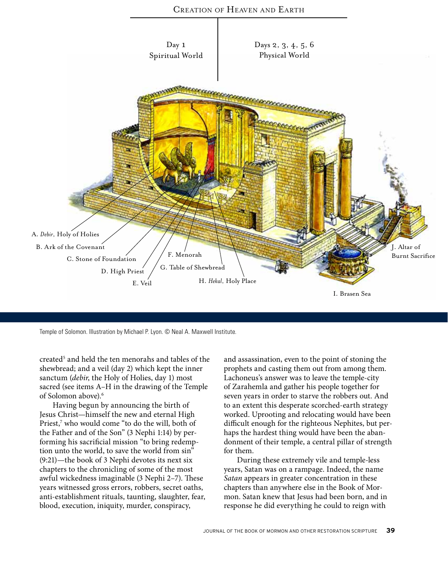

Temple of Solomon. Illustration by Michael P. Lyon. © Neal A. Maxwell Institute.

created<sup>5</sup> and held the ten menorahs and tables of the shewbread; and a veil (day 2) which kept the inner sanctum (*debir*, the Holy of Holies, day 1) most sacred (see items A–H in the drawing of the Temple of Solomon above).<sup>6</sup>

Having begun by announcing the birth of Jesus Christ—himself the new and eternal High Priest,7 who would come "to do the will, both of the Father and of the Son" (3 Nephi 1:14) by performing his sacrificial mission "to bring redemption unto the world, to save the world from sin" (9:21)—the book of 3 Nephi devotes its next six chapters to the chronicling of some of the most awful wickedness imaginable (3 Nephi 2–7). These years witnessed gross errors, robbers, secret oaths, anti-establishment rituals, taunting, slaughter, fear, blood, execution, iniquity, murder, conspiracy,

and assassination, even to the point of stoning the prophets and casting them out from among them. Lachoneus's answer was to leave the temple-city of Zarahemla and gather his people together for seven years in order to starve the robbers out. And to an extent this desperate scorched-earth strategy worked. Uprooting and relocating would have been difficult enough for the righteous Nephites, but perhaps the hardest thing would have been the abandonment of their temple, a central pillar of strength for them.

During these extremely vile and temple-less years, Satan was on a rampage. Indeed, the name *Satan* appears in greater concentration in these chapters than anywhere else in the Book of Mormon. Satan knew that Jesus had been born, and in response he did everything he could to reign with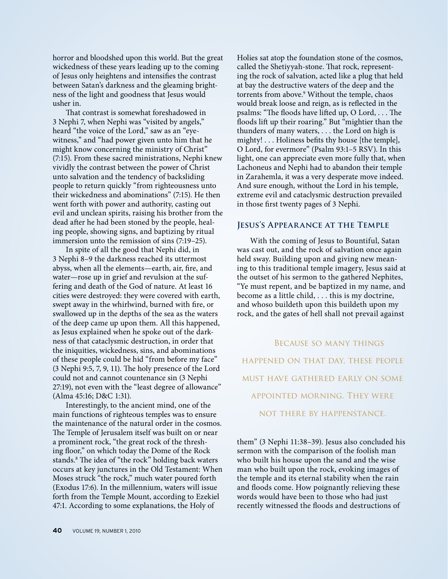horror and bloodshed upon this world. But the great wickedness of these years leading up to the coming of Jesus only heightens and intensifies the contrast between Satan's darkness and the gleaming brightness of the light and goodness that Jesus would usher in.

That contrast is somewhat foreshadowed in 3 Nephi 7, when Nephi was "visited by angels," heard "the voice of the Lord," saw as an "eyewitness," and "had power given unto him that he might know concerning the ministry of Christ" (7:15). From these sacred ministrations, Nephi knew vividly the contrast between the power of Christ unto salvation and the tendency of backsliding people to return quickly "from righteousness unto their wickedness and abominations" (7:15). He then went forth with power and authority, casting out evil and unclean spirits, raising his brother from the dead after he had been stoned by the people, healing people, showing signs, and baptizing by ritual immersion unto the remission of sins (7:19–25).

In spite of all the good that Nephi did, in 3 Nephi 8–9 the darkness reached its uttermost abyss, when all the elements—earth, air, fire, and water—rose up in grief and revulsion at the suffering and death of the God of nature. At least 16 cities were destroyed: they were covered with earth, swept away in the whirlwind, burned with fire, or swallowed up in the depths of the sea as the waters of the deep came up upon them. All this happened, as Jesus explained when he spoke out of the darkness of that cataclysmic destruction, in order that the iniquities, wickedness, sins, and abominations of these people could be hid "from before my face" (3 Nephi 9:5, 7, 9, 11). The holy presence of the Lord could not and cannot countenance sin (3 Nephi 27:19), not even with the "least degree of allowance" (Alma 45:16; D&C 1:31).

Interestingly, to the ancient mind, one of the main functions of righteous temples was to ensure the maintenance of the natural order in the cosmos. The Temple of Jerusalem itself was built on or near a prominent rock, "the great rock of the threshing floor," on which today the Dome of the Rock stands.8 The idea of "the rock" holding back waters occurs at key junctures in the Old Testament: When Moses struck "the rock," much water poured forth (Exodus 17:6). In the millennium, waters will issue forth from the Temple Mount, according to Ezekiel 47:1. According to some explanations, the Holy of

Holies sat atop the foundation stone of the cosmos, called the Shetiyyah-stone. That rock, representing the rock of salvation, acted like a plug that held at bay the destructive waters of the deep and the torrents from above.9 Without the temple, chaos would break loose and reign, as is reflected in the psalms: "The floods have lifted up, O Lord, . . . The floods lift up their roaring." But "mightier than the thunders of many waters, . . . the Lord on high is mighty! . . . Holiness befits thy house [the temple], O Lord, for evermore" (Psalm 93:1–5 RSV). In this light, one can appreciate even more fully that, when Lachoneus and Nephi had to abandon their temple in Zarahemla, it was a very desperate move indeed. And sure enough, without the Lord in his temple, extreme evil and cataclysmic destruction prevailed in those first twenty pages of 3 Nephi.

## **Jesus's Appearance at the Temple**

With the coming of Jesus to Bountiful, Satan was cast out, and the rock of salvation once again held sway. Building upon and giving new meaning to this traditional temple imagery, Jesus said at the outset of his sermon to the gathered Nephites, "Ye must repent, and be baptized in my name, and become as a little child, . . . this is my doctrine, and whoso buildeth upon this buildeth upon my rock, and the gates of hell shall not prevail against

Because so many things happened on that day, these people must have gathered early on some appointed morning. They were not there by happenstance.

them" (3 Nephi 11:38–39). Jesus also concluded his sermon with the comparison of the foolish man who built his house upon the sand and the wise man who built upon the rock, evoking images of the temple and its eternal stability when the rain and floods come. How poignantly relieving these words would have been to those who had just recently witnessed the floods and destructions of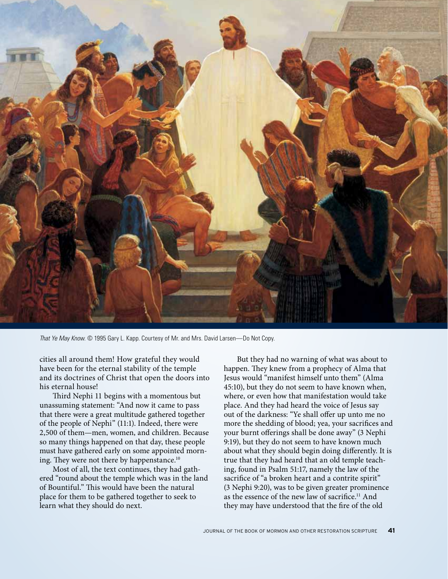

*That Ye May Know*. © 1995 Gary L. Kapp. Courtesy of Mr. and Mrs. David Larsen—Do Not Copy.

cities all around them! How grateful they would have been for the eternal stability of the temple and its doctrines of Christ that open the doors into his eternal house!

Third Nephi 11 begins with a momentous but unassuming statement: "And now it came to pass that there were a great multitude gathered together of the people of Nephi" (11:1). Indeed, there were 2,500 of them—men, women, and children. Because so many things happened on that day, these people must have gathered early on some appointed morning. They were not there by happenstance.<sup>10</sup>

Most of all, the text continues, they had gathered "round about the temple which was in the land of Bountiful." This would have been the natural place for them to be gathered together to seek to learn what they should do next.

But they had no warning of what was about to happen. They knew from a prophecy of Alma that Jesus would "manifest himself unto them" (Alma 45:10), but they do not seem to have known when, where, or even how that manifestation would take place. And they had heard the voice of Jesus say out of the darkness: "Ye shall offer up unto me no more the shedding of blood; yea, your sacrifices and your burnt offerings shall be done away" (3 Nephi 9:19), but they do not seem to have known much about what they should begin doing differently. It is true that they had heard that an old temple teaching, found in Psalm 51:17, namely the law of the sacrifice of "a broken heart and a contrite spirit" (3 Nephi 9:20), was to be given greater prominence as the essence of the new law of sacrifice.<sup>11</sup> And they may have understood that the fire of the old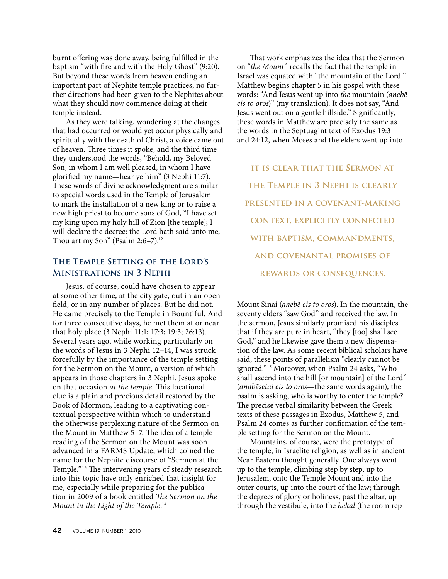burnt offering was done away, being fulfilled in the baptism "with fire and with the Holy Ghost" (9:20). But beyond these words from heaven ending an important part of Nephite temple practices, no further directions had been given to the Nephites about what they should now commence doing at their temple instead.

As they were talking, wondering at the changes that had occurred or would yet occur physically and spiritually with the death of Christ, a voice came out of heaven. Three times it spoke, and the third time they understood the words, "Behold, my Beloved Son, in whom I am well pleased, in whom I have glorified my name—hear ye him" (3 Nephi 11:7). These words of divine acknowledgment are similar to special words used in the Temple of Jerusalem to mark the installation of a new king or to raise a new high priest to become sons of God, "I have set my king upon my holy hill of Zion [the temple]; I will declare the decree: the Lord hath said unto me, Thou art my Son" (Psalm  $2:6-7$ ).<sup>12</sup>

# **The Temple Setting of the Lord's Ministrations in 3 Nephi**

Jesus, of course, could have chosen to appear at some other time, at the city gate, out in an open field, or in any number of places. But he did not. He came precisely to the Temple in Bountiful. And for three consecutive days, he met them at or near that holy place (3 Nephi 11:1; 17:3; 19:3; 26:13). Several years ago, while working particularly on the words of Jesus in 3 Nephi 12–14, I was struck forcefully by the importance of the temple setting for the Sermon on the Mount, a version of which appears in those chapters in 3 Nephi. Jesus spoke on that occasion *at the temple*. This locational clue is a plain and precious detail restored by the Book of Mormon, leading to a captivating contextual perspective within which to understand the otherwise perplexing nature of the Sermon on the Mount in Matthew 5–7. The idea of a temple reading of the Sermon on the Mount was soon advanced in a FARMS Update, which coined the name for the Nephite discourse of "Sermon at the Temple."13 The intervening years of steady research into this topic have only enriched that insight for me, especially while preparing for the publication in 2009 of a book entitled *The Sermon on the Mount in the Light of the Temple.*<sup>14</sup>

That work emphasizes the idea that the Sermon on "*the Mount*" recalls the fact that the temple in Israel was equated with "the mountain of the Lord." Matthew begins chapter 5 in his gospel with these words: "And Jesus went up into *the* mountain (*anebē eis to oros*)" (my translation). It does not say, "And Jesus went out on a gentle hillside." Significantly, these words in Matthew are precisely the same as the words in the Septuagint text of Exodus 19:3 and 24:12, when Moses and the elders went up into

**IT IS CLEAR THAT THE SERMON AT the Temple in 3 Nephi is clearly presented in a covenant-making context, explicitly connected with baptism, commandments, and covenantal promises of rewards or consequences.**

Mount Sinai (*anebē eis to oros*). In the mountain, the seventy elders "saw God" and received the law. In the sermon, Jesus similarly promised his disciples that if they are pure in heart, "they [too] shall see God," and he likewise gave them a new dispensation of the law. As some recent biblical scholars have said, these points of parallelism "clearly cannot be ignored."15 Moreover, when Psalm 24 asks, "Who shall ascend into the hill [or mountain] of the Lord" (*anabēsetai eis to oros*—the same words again), the psalm is asking, who is worthy to enter the temple? The precise verbal similarity between the Greek texts of these passages in Exodus, Matthew 5, and Psalm 24 comes as further confirmation of the temple setting for the Sermon on the Mount.

Mountains, of course, were the prototype of the temple, in Israelite religion, as well as in ancient Near Eastern thought generally. One always went up to the temple, climbing step by step, up to Jerusalem, onto the Temple Mount and into the outer courts, up into the court of the law; through the degrees of glory or holiness, past the altar, up through the vestibule, into the *hekal* (the room rep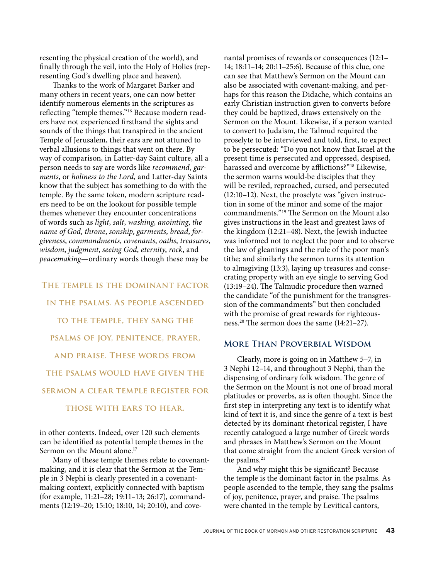resenting the physical creation of the world), and finally through the veil, into the Holy of Holies (representing God's dwelling place and heaven).

Thanks to the work of Margaret Barker and many others in recent years, one can now better identify numerous elements in the scriptures as reflecting "temple themes."16 Because modern readers have not experienced firsthand the sights and sounds of the things that transpired in the ancient Temple of Jerusalem, their ears are not attuned to verbal allusions to things that went on there. By way of comparison, in Latter-day Saint culture, all a person needs to say are words like *recommend*, *garments*, or *holiness to the Lord*, and Latter-day Saints know that the subject has something to do with the temple. By the same token, modern scripture readers need to be on the lookout for possible temple themes whenever they encounter concentrations of words such as *light*, *salt*, *washing*, *anointing*, *the name of God*, *throne*, *sonship*, *garments*, *bread*, *forgiveness*, *commandments*, *covenants*, *oaths*, *treasures*, *wisdom*, *judgment*, *seeing God*, *eternity*, *rock*, and *peacemaking*—ordinary words though these may be

# **The temple is the dominant factor in the psalms. As people ascended to the temple, they sang the psalms of joy, penitence, prayer, and praise. These words from the psalms would have given the sermon a clear temple register for those with ears to hear.**

in other contexts. Indeed, over 120 such elements can be identified as potential temple themes in the Sermon on the Mount alone.<sup>17</sup>

Many of these temple themes relate to covenantmaking, and it is clear that the Sermon at the Temple in 3 Nephi is clearly presented in a covenantmaking context, explicitly connected with baptism (for example, 11:21–28; 19:11–13; 26:17), commandments (12:19–20; 15:10; 18:10, 14; 20:10), and covenantal promises of rewards or consequences (12:1– 14; 18:11–14; 20:11–25:6). Because of this clue, one can see that Matthew's Sermon on the Mount can also be associated with covenant-making, and perhaps for this reason the Didache, which contains an early Christian instruction given to converts before they could be baptized, draws extensively on the Sermon on the Mount. Likewise, if a person wanted to convert to Judaism, the Talmud required the proselyte to be interviewed and told, first, to expect to be persecuted: "Do you not know that Israel at the present time is persecuted and oppressed, despised, harassed and overcome by afflictions?"18 Likewise, the sermon warns would-be disciples that they will be reviled, reproached, cursed, and persecuted (12:10–12). Next, the proselyte was "given instruction in some of the minor and some of the major commandments."19 The Sermon on the Mount also gives instructions in the least and greatest laws of the kingdom (12:21–48). Next, the Jewish inductee was informed not to neglect the poor and to observe the law of gleanings and the rule of the poor man's tithe; and similarly the sermon turns its attention to almsgiving (13:3), laying up treasures and consecrating property with an eye single to serving God (13:19–24). The Talmudic procedure then warned the candidate "of the punishment for the transgression of the commandments" but then concluded with the promise of great rewards for righteousness.20 The sermon does the same (14:21–27).

## **More Than Proverbial Wisdom**

Clearly, more is going on in Matthew 5–7, in 3 Nephi 12–14, and throughout 3 Nephi, than the dispensing of ordinary folk wisdom. The genre of the Sermon on the Mount is not one of broad moral platitudes or proverbs, as is often thought. Since the first step in interpreting any text is to identify what kind of text it is, and since the genre of a text is best detected by its dominant rhetorical register, I have recently catalogued a large number of Greek words and phrases in Matthew's Sermon on the Mount that come straight from the ancient Greek version of the psalms.<sup>21</sup>

And why might this be significant? Because the temple is the dominant factor in the psalms. As people ascended to the temple, they sang the psalms of joy, penitence, prayer, and praise. The psalms were chanted in the temple by Levitical cantors,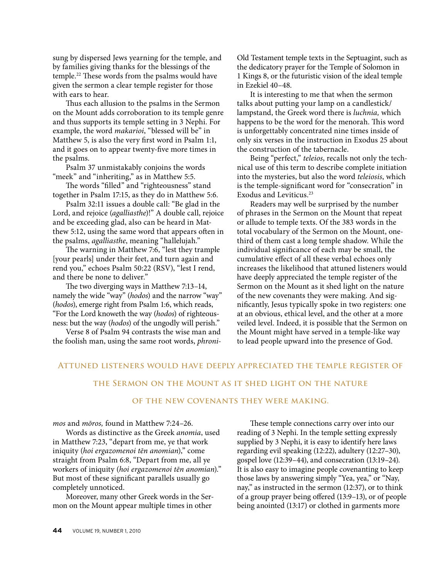sung by dispersed Jews yearning for the temple, and by families giving thanks for the blessings of the temple.22 These words from the psalms would have given the sermon a clear temple register for those with ears to hear.

Thus each allusion to the psalms in the Sermon on the Mount adds corroboration to its temple genre and thus supports its temple setting in 3 Nephi. For example, the word *makarioi*, "blessed will be" in Matthew 5, is also the very first word in Psalm 1:1, and it goes on to appear twenty-five more times in the psalms.

Psalm 37 unmistakably conjoins the words "meek" and "inheriting," as in Matthew 5:5.

The words "filled" and "righteousness" stand together in Psalm 17:15, as they do in Matthew 5:6.

Psalm 32:11 issues a double call: "Be glad in the Lord, and rejoice (*agalliasthe*)!" A double call, rejoice and be exceeding glad, also can be heard in Matthew 5:12, using the same word that appears often in the psalms, *agalliasthe*, meaning "hallelujah."

The warning in Matthew 7:6, "lest they trample [your pearls] under their feet, and turn again and rend you," echoes Psalm 50:22 (RSV), "lest I rend, and there be none to deliver."

The two diverging ways in Matthew 7:13–14, namely the wide "way" (*hodos*) and the narrow "way" (*hodos*), emerge right from Psalm 1:6, which reads, "For the Lord knoweth the way (*hodos*) of righteousness: but the way (*hodos*) of the ungodly will perish."

Verse 8 of Psalm 94 contrasts the wise man and the foolish man, using the same root words, *phroni-* Old Testament temple texts in the Septuagint, such as the dedicatory prayer for the Temple of Solomon in 1 Kings 8, or the futuristic vision of the ideal temple in Ezekiel 40–48.

It is interesting to me that when the sermon talks about putting your lamp on a candlestick/ lampstand, the Greek word there is *luchnia,* which happens to be the word for the menorah. This word is unforgettably concentrated nine times inside of only six verses in the instruction in Exodus 25 about the construction of the tabernacle.

Being "perfect," *teleios*, recalls not only the technical use of this term to describe complete initiation into the mysteries, but also the word *teleiosis*, which is the temple-significant word for "consecration" in Exodus and Leviticus.23

Readers may well be surprised by the number of phrases in the Sermon on the Mount that repeat or allude to temple texts. Of the 383 words in the total vocabulary of the Sermon on the Mount, onethird of them cast a long temple shadow. While the individual significance of each may be small, the cumulative effect of all these verbal echoes only increases the likelihood that attuned listeners would have deeply appreciated the temple register of the Sermon on the Mount as it shed light on the nature of the new covenants they were making. And significantly, Jesus typically spoke in two registers: one at an obvious, ethical level, and the other at a more veiled level. Indeed, it is possible that the Sermon on the Mount might have served in a temple-like way to lead people upward into the presence of God.

### **Attuned listeners would have deeply appreciated the temple register of**

### **the Sermon on the Mount as it shed light on the nature**

### **of the new covenants they were making.**

*mos* and *mōros,* found in Matthew 7:24–26.

Words as distinctive as the Greek *anomia*, used in Matthew 7:23, "depart from me, ye that work iniquity (*hoi ergazomenoi tēn anomian*)," come straight from Psalm 6:8, "Depart from me, all ye workers of iniquity (*hoi ergazomenoi tēn anomian*)." But most of these significant parallels usually go completely unnoticed.

Moreover, many other Greek words in the Sermon on the Mount appear multiple times in other

These temple connections carry over into our reading of 3 Nephi. In the temple setting expressly supplied by 3 Nephi, it is easy to identify here laws regarding evil speaking (12:22), adultery (12:27–30), gospel love (12:39–44), and consecration (13:19–24). It is also easy to imagine people covenanting to keep those laws by answering simply "Yea, yea," or "Nay, nay," as instructed in the sermon (12:37), or to think of a group prayer being offered (13:9–13), or of people being anointed (13:17) or clothed in garments more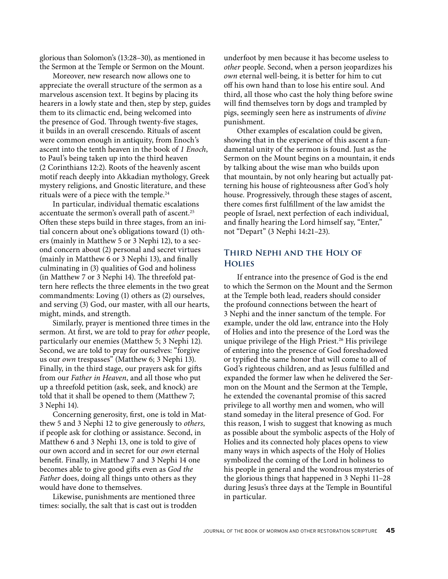glorious than Solomon's (13:28–30), as mentioned in the Sermon at the Temple or Sermon on the Mount.

Moreover, new research now allows one to appreciate the overall structure of the sermon as a marvelous ascension text. It begins by placing its hearers in a lowly state and then, step by step, guides them to its climactic end, being welcomed into the presence of God. Through twenty-five stages, it builds in an overall crescendo. Rituals of ascent were common enough in antiquity, from Enoch's ascent into the tenth heaven in the book of *1 Enoch*, to Paul's being taken up into the third heaven (2 Corinthians 12:2). Roots of the heavenly ascent motif reach deeply into Akkadian mythology, Greek mystery religions, and Gnostic literature, and these rituals were of a piece with the temple.24

In particular, individual thematic escalations accentuate the sermon's overall path of ascent.<sup>25</sup> Often these steps build in three stages, from an initial concern about one's obligations toward (1) others (mainly in Matthew 5 or 3 Nephi 12), to a second concern about (2) personal and secret virtues (mainly in Matthew 6 or 3 Nephi 13), and finally culminating in (3) qualities of God and holiness (in Matthew 7 or 3 Nephi 14). The threefold pattern here reflects the three elements in the two great commandments: Loving (1) others as (2) ourselves, and serving (3) God, our master, with all our hearts, might, minds, and strength.

Similarly, prayer is mentioned three times in the sermon. At first, we are told to pray for *other* people, particularly our enemies (Matthew 5; 3 Nephi 12). Second, we are told to pray for ourselves: "forgive us our *own* trespasses" (Matthew 6; 3 Nephi 13). Finally, in the third stage, our prayers ask for gifts from our *Father in Heaven*, and all those who put up a threefold petition (ask, seek, and knock) are told that it shall be opened to them (Matthew 7; 3 Nephi 14).

Concerning generosity, first, one is told in Matthew 5 and 3 Nephi 12 to give generously to *others*, if people ask for clothing or assistance. Second, in Matthew 6 and 3 Nephi 13, one is told to give of our own accord and in secret for our *own* eternal benefit. Finally, in Matthew 7 and 3 Nephi 14 one becomes able to give good gifts even as *God the Father* does, doing all things unto others as they would have done to themselves.

Likewise, punishments are mentioned three times: socially, the salt that is cast out is trodden

underfoot by men because it has become useless to *other* people. Second, when a person jeopardizes his *own* eternal well-being, it is better for him to cut off his own hand than to lose his entire soul. And third, all those who cast the holy thing before swine will find themselves torn by dogs and trampled by pigs, seemingly seen here as instruments of *divine* punishment.

Other examples of escalation could be given, showing that in the experience of this ascent a fundamental unity of the sermon is found. Just as the Sermon on the Mount begins on a mountain, it ends by talking about the wise man who builds upon that mountain, by not only hearing but actually patterning his house of righteousness after God's holy house. Progressively, through these stages of ascent, there comes first fulfillment of the law amidst the people of Israel, next perfection of each individual, and finally hearing the Lord himself say, "Enter," not "Depart" (3 Nephi 14:21–23).

# **Third Nephi and the Holy of Holies**

If entrance into the presence of God is the end to which the Sermon on the Mount and the Sermon at the Temple both lead, readers should consider the profound connections between the heart of 3 Nephi and the inner sanctum of the temple. For example, under the old law, entrance into the Holy of Holies and into the presence of the Lord was the unique privilege of the High Priest.<sup>26</sup> His privilege of entering into the presence of God foreshadowed or typified the same honor that will come to all of God's righteous children, and as Jesus fulfilled and expanded the former law when he delivered the Sermon on the Mount and the Sermon at the Temple, he extended the covenantal promise of this sacred privilege to all worthy men and women, who will stand someday in the literal presence of God. For this reason, I wish to suggest that knowing as much as possible about the symbolic aspects of the Holy of Holies and its connected holy places opens to view many ways in which aspects of the Holy of Holies symbolized the coming of the Lord in holiness to his people in general and the wondrous mysteries of the glorious things that happened in 3 Nephi 11–28 during Jesus's three days at the Temple in Bountiful in particular.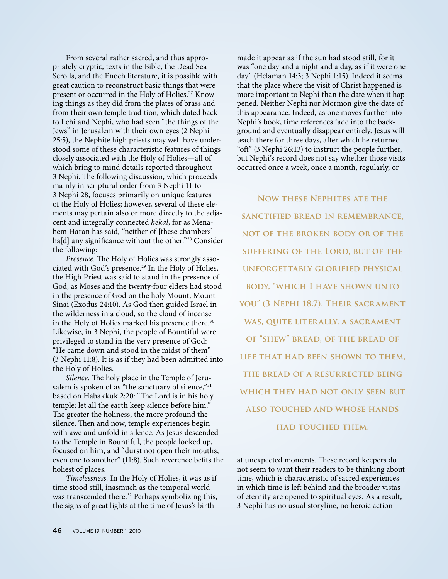From several rather sacred, and thus appropriately cryptic, texts in the Bible, the Dead Sea Scrolls, and the Enoch literature, it is possible with great caution to reconstruct basic things that were present or occurred in the Holy of Holies.<sup>27</sup> Knowing things as they did from the plates of brass and from their own temple tradition, which dated back to Lehi and Nephi, who had seen "the things of the Jews" in Jerusalem with their own eyes (2 Nephi 25:5), the Nephite high priests may well have understood some of these characteristic features of things closely associated with the Holy of Holies—all of which bring to mind details reported throughout 3 Nephi. The following discussion, which proceeds mainly in scriptural order from 3 Nephi 11 to 3 Nephi 28, focuses primarily on unique features of the Holy of Holies; however, several of these elements may pertain also or more directly to the adjacent and integrally connected *hekal*, for as Menahem Haran has said, "neither of [these chambers] ha[d] any significance without the other."<sup>28</sup> Consider the following:

*Presence.* The Holy of Holies was strongly associated with God's presence.<sup>29</sup> In the Holy of Holies, the High Priest was said to stand in the presence of God, as Moses and the twenty-four elders had stood in the presence of God on the holy Mount, Mount Sinai (Exodus 24:10). As God then guided Israel in the wilderness in a cloud, so the cloud of incense in the Holy of Holies marked his presence there.<sup>30</sup> Likewise, in 3 Nephi, the people of Bountiful were privileged to stand in the very presence of God: "He came down and stood in the midst of them" (3 Nephi 11:8). It is as if they had been admitted into the Holy of Holies.

*Silence.* The holy place in the Temple of Jerusalem is spoken of as "the sanctuary of silence,"31 based on Habakkuk 2:20: "The Lord is in his holy temple: let all the earth keep silence before him." The greater the holiness, the more profound the silence. Then and now, temple experiences begin with awe and unfold in silence. As Jesus descended to the Temple in Bountiful, the people looked up, focused on him, and "durst not open their mouths, even one to another" (11:8). Such reverence befits the holiest of places.

*Timelessness.* In the Holy of Holies, it was as if time stood still, inasmuch as the temporal world was transcended there.<sup>32</sup> Perhaps symbolizing this, the signs of great lights at the time of Jesus's birth

made it appear as if the sun had stood still, for it was "one day and a night and a day, as if it were one day" (Helaman 14:3; 3 Nephi 1:15). Indeed it seems that the place where the visit of Christ happened is more important to Nephi than the date when it happened. Neither Nephi nor Mormon give the date of this appearance. Indeed, as one moves further into Nephi's book, time references fade into the background and eventually disappear entirely. Jesus will teach there for three days, after which he returned "oft" (3 Nephi 26:13) to instruct the people further, but Nephi's record does not say whether those visits occurred once a week, once a month, regularly, or

**Now these Nephites ate the sanctified bread in remembrance, not of the broken body or of the suffering of the Lord, but of the unforgettably glorified physical body, "which I have shown unto you" (3 Nephi 18:7). Their sacrament**  WAS, QUITE LITERALLY, A SACRAMENT **of "shew" bread, of the bread of life that had been shown to them, the bread of a resurrected being which they had not only seen but also touched and whose hands had touched them.**

at unexpected moments. These record keepers do not seem to want their readers to be thinking about time, which is characteristic of sacred experiences in which time is left behind and the broader vistas of eternity are opened to spiritual eyes. As a result, 3 Nephi has no usual storyline, no heroic action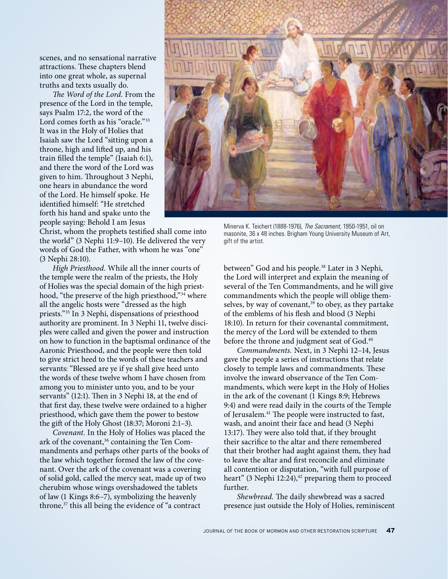scenes, and no sensational narrative attractions. These chapters blend into one great whole, as supernal truths and texts usually do.

*The Word of the Lord.* From the presence of the Lord in the temple, says Psalm 17:2, the word of the Lord comes forth as his "oracle."<sup>33</sup> It was in the Holy of Holies that Isaiah saw the Lord "sitting upon a throne, high and lifted up, and his train filled the temple" (Isaiah 6:1), and there the word of the Lord was given to him. Throughout 3 Nephi, one hears in abundance the word of the Lord. He himself spoke. He identified himself: "He stretched forth his hand and spake unto the people saying: Behold I am Jesus

Christ, whom the prophets testified shall come into the world" (3 Nephi 11:9–10). He delivered the very words of God the Father, with whom he was "one" (3 Nephi 28:10).

*High Priesthood.* While all the inner courts of the temple were the realm of the priests, the Holy of Holies was the special domain of the high priesthood, "the preserve of the high priesthood,"34 where all the angelic hosts were "dressed as the high priests."35 In 3 Nephi, dispensations of priesthood authority are prominent. In 3 Nephi 11, twelve disciples were called and given the power and instruction on how to function in the baptismal ordinance of the Aaronic Priesthood, and the people were then told to give strict heed to the words of these teachers and servants: "Blessed are ye if ye shall give heed unto the words of these twelve whom I have chosen from among you to minister unto you, and to be your servants" (12:1). Then in 3 Nephi 18, at the end of that first day, these twelve were ordained to a higher priesthood, which gave them the power to bestow the gift of the Holy Ghost (18:37; Moroni 2:1–3).

*Covenant.* In the Holy of Holies was placed the ark of the covenant,<sup>36</sup> containing the Ten Commandments and perhaps other parts of the books of the law which together formed the law of the covenant. Over the ark of the covenant was a covering of solid gold, called the mercy seat, made up of two cherubim whose wings overshadowed the tablets of law (1 Kings 8:6–7), symbolizing the heavenly throne, $37$  this all being the evidence of "a contract"



Minerva K. Teichert (1888-1976), *The Sacrament*, 1950-1951, oil on masonite, 36 x 48 inches. Brigham Young University Museum of Art, gift of the artist.

between" God and his people.<sup>38</sup> Later in 3 Nephi, the Lord will interpret and explain the meaning of several of the Ten Commandments, and he will give commandments which the people will oblige themselves, by way of covenant,<sup>39</sup> to obey, as they partake of the emblems of his flesh and blood (3 Nephi 18:10). In return for their covenantal commitment, the mercy of the Lord will be extended to them before the throne and judgment seat of God.<sup>40</sup>

*Commandments.* Next, in 3 Nephi 12–14, Jesus gave the people a series of instructions that relate closely to temple laws and commandments. These involve the inward observance of the Ten Commandments, which were kept in the Holy of Holies in the ark of the covenant (1 Kings 8:9; Hebrews 9:4) and were read daily in the courts of the Temple of Jerusalem.<sup>41</sup> The people were instructed to fast, wash, and anoint their face and head (3 Nephi 13:17). They were also told that, if they brought their sacrifice to the altar and there remembered that their brother had aught against them, they had to leave the altar and first reconcile and eliminate all contention or disputation, "with full purpose of heart" (3 Nephi 12:24),<sup>42</sup> preparing them to proceed further.

*Shewbread.* The daily shewbread was a sacred presence just outside the Holy of Holies, reminiscent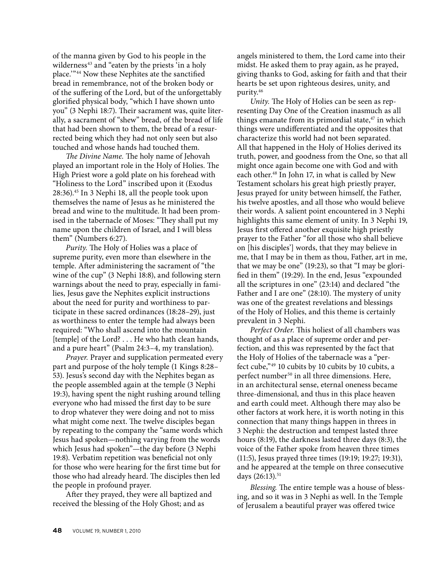of the manna given by God to his people in the wilderness<sup>43</sup> and "eaten by the priests 'in a holy place.'"44 Now these Nephites ate the sanctified bread in remembrance, not of the broken body or of the suffering of the Lord, but of the unforgettably glorified physical body, "which I have shown unto you" (3 Nephi 18:7). Their sacrament was, quite literally, a sacrament of "shew" bread, of the bread of life that had been shown to them, the bread of a resurrected being which they had not only seen but also touched and whose hands had touched them.

*The Divine Name.* The holy name of Jehovah played an important role in the Holy of Holies. The High Priest wore a gold plate on his forehead with "Holiness to the Lord" inscribed upon it (Exodus 28:36).45 In 3 Nephi 18, all the people took upon themselves the name of Jesus as he ministered the bread and wine to the multitude. It had been promised in the tabernacle of Moses: "They shall put my name upon the children of Israel, and I will bless them" (Numbers 6:27).

*Purity.* The Holy of Holies was a place of supreme purity, even more than elsewhere in the temple. After administering the sacrament of "the wine of the cup" (3 Nephi 18:8), and following stern warnings about the need to pray, especially in families, Jesus gave the Nephites explicit instructions about the need for purity and worthiness to participate in these sacred ordinances (18:28–29), just as worthiness to enter the temple had always been required: "Who shall ascend into the mountain [temple] of the Lord? . . . He who hath clean hands, and a pure heart" (Psalm 24:3–4, my translation).

*Prayer.* Prayer and supplication permeated every part and purpose of the holy temple (1 Kings 8:28– 53). Jesus's second day with the Nephites began as the people assembled again at the temple (3 Nephi 19:3), having spent the night rushing around telling everyone who had missed the first day to be sure to drop whatever they were doing and not to miss what might come next. The twelve disciples began by repeating to the company the "same words which Jesus had spoken—nothing varying from the words which Jesus had spoken"—the day before (3 Nephi 19:8). Verbatim repetition was beneficial not only for those who were hearing for the first time but for those who had already heard. The disciples then led the people in profound prayer.

After they prayed, they were all baptized and received the blessing of the Holy Ghost; and as

angels ministered to them, the Lord came into their midst. He asked them to pray again, as he prayed, giving thanks to God, asking for faith and that their hearts be set upon righteous desires, unity, and purity.46

*Unity.* The Holy of Holies can be seen as representing Day One of the Creation inasmuch as all things emanate from its primordial state,<sup>47</sup> in which things were undifferentiated and the opposites that characterize this world had not been separated. All that happened in the Holy of Holies derived its truth, power, and goodness from the One, so that all might once again become one with God and with each other.<sup>48</sup> In John 17, in what is called by New Testament scholars his great high priestly prayer, Jesus prayed for unity between himself, the Father, his twelve apostles, and all those who would believe their words. A salient point encountered in 3 Nephi highlights this same element of unity. In 3 Nephi 19, Jesus first offered another exquisite high priestly prayer to the Father "for all those who shall believe on [his disciples'] words, that they may believe in me, that I may be in them as thou, Father, art in me, that we may be one" (19:23), so that "I may be glorified in them" (19:29). In the end, Jesus "expounded all the scriptures in one" (23:14) and declared "the Father and I are one" (28:10). The mystery of unity was one of the greatest revelations and blessings of the Holy of Holies, and this theme is certainly prevalent in 3 Nephi.

*Perfect Order.* This holiest of all chambers was thought of as a place of supreme order and perfection, and this was represented by the fact that the Holy of Holies of the tabernacle was a "perfect cube,"49 10 cubits by 10 cubits by 10 cubits, a perfect number<sup>50</sup> in all three dimensions. Here, in an architectural sense, eternal oneness became three-dimensional, and thus in this place heaven and earth could meet. Although there may also be other factors at work here, it is worth noting in this connection that many things happen in threes in 3 Nephi: the destruction and tempest lasted three hours (8:19), the darkness lasted three days (8:3), the voice of the Father spoke from heaven three times (11:5), Jesus prayed three times (19:19; 19:27; 19:31), and he appeared at the temple on three consecutive days  $(26:13).$ <sup>51</sup>

*Blessing.* The entire temple was a house of blessing, and so it was in 3 Nephi as well. In the Temple of Jerusalem a beautiful prayer was offered twice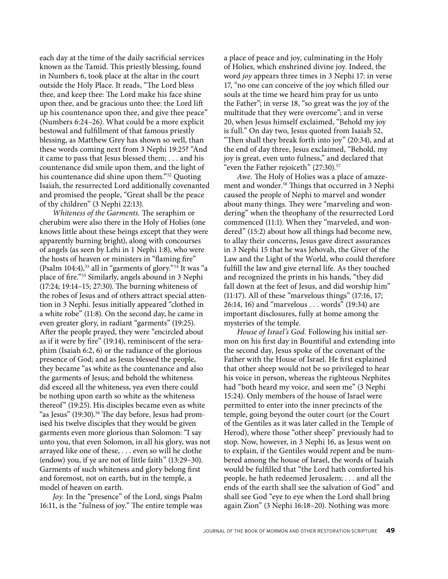each day at the time of the daily sacrificial services known as the Tamid. This priestly blessing, found in Numbers 6, took place at the altar in the court outside the Holy Place. It reads, "The Lord bless thee, and keep thee: The Lord make his face shine upon thee, and be gracious unto thee: the Lord lift up his countenance upon thee, and give thee peace" (Numbers 6:24–26). What could be a more explicit bestowal and fulfillment of that famous priestly blessing, as Matthew Grey has shown so well, than these words coming next from 3 Nephi 19:25? "And it came to pass that Jesus blessed them; . . . and his countenance did smile upon them, and the light of his countenance did shine upon them."52 Quoting Isaiah, the resurrected Lord additionally covenanted and promised the people, "Great shall be the peace of thy children" (3 Nephi 22:13).

*Whiteness of the Garments.* The seraphim or cherubim were also there in the Holy of Holies (one knows little about these beings except that they were apparently burning bright), along with concourses of angels (as seen by Lehi in 1 Nephi 1:8), who were the hosts of heaven or ministers in "flaming fire" (Psalm 104:4), $53$  all in "garments of glory." $54$  It was "a place of fire."55 Similarly, angels abound in 3 Nephi (17:24; 19:14–15; 27:30). The burning whiteness of the robes of Jesus and of others attract special attention in 3 Nephi. Jesus initially appeared "clothed in a white robe" (11:8). On the second day, he came in even greater glory, in radiant "garments" (19:25). After the people prayed, they were "encircled about as if it were by fire" (19:14), reminiscent of the seraphim (Isaiah 6:2, 6) or the radiance of the glorious presence of God; and as Jesus blessed the people, they became "as white as the countenance and also the garments of Jesus; and behold the whiteness did exceed all the whiteness, yea even there could be nothing upon earth so white as the whiteness thereof" (19:25). His disciples became even as white "as Jesus" (19:30).<sup>56</sup> The day before, Jesus had promised his twelve disciples that they would be given garments even more glorious than Solomon: "I say unto you, that even Solomon, in all his glory, was not arrayed like one of these, . . . even so will he clothe (endow) you, if ye are not of little faith" (13:29–30). Garments of such whiteness and glory belong first and foremost, not on earth, but in the temple, a model of heaven on earth.

*Joy.* In the "presence" of the Lord, sings Psalm 16:11, is the "fulness of joy." The entire temple was

a place of peace and joy, culminating in the Holy of Holies, which enshrined divine joy. Indeed, the word *joy* appears three times in 3 Nephi 17: in verse 17, "no one can conceive of the joy which filled our souls at the time we heard him pray for us unto the Father"; in verse 18, "so great was the joy of the multitude that they were overcome"; and in verse 20, when Jesus himself exclaimed, "Behold my joy is full." On day two, Jesus quoted from Isaiah 52, "Then shall they break forth into joy" (20:34), and at the end of day three, Jesus exclaimed, "Behold, my joy is great, even unto fulness," and declared that "even the Father rejoiceth"  $(27:30).$ <sup>57</sup>

*Awe.* The Holy of Holies was a place of amazement and wonder.<sup>58</sup> Things that occurred in 3 Nephi caused the people of Nephi to marvel and wonder about many things. They were "marveling and wondering" when the theophany of the resurrected Lord commenced (11:1). When they "marveled, and wondered" (15:2) about how all things had become new, to allay their concerns, Jesus gave direct assurances in 3 Nephi 15 that he was Jehovah, the Giver of the Law and the Light of the World, who could therefore fulfill the law and give eternal life. As they touched and recognized the prints in his hands, "they did fall down at the feet of Jesus, and did worship him" (11:17). All of these "marvelous things" (17:16, 17; 26:14, 16) and "marvelous . . . words" (19:34) are important disclosures, fully at home among the mysteries of the temple.

*House of Israel's God.* Following his initial sermon on his first day in Bountiful and extending into the second day, Jesus spoke of the covenant of the Father with the House of Israel. He first explained that other sheep would not be so privileged to hear his voice in person, whereas the righteous Nephites had "both heard my voice, and seen me" (3 Nephi 15:24). Only members of the house of Israel were permitted to enter into the inner precincts of the temple, going beyond the outer court (or the Court of the Gentiles as it was later called in the Temple of Herod), where those "other sheep" previously had to stop. Now, however, in 3 Nephi 16, as Jesus went on to explain, if the Gentiles would repent and be numbered among the house of Israel, the words of Isaiah would be fulfilled that "the Lord hath comforted his people, he hath redeemed Jerusalem; . . . and all the ends of the earth shall see the salvation of God" and shall see God "eye to eye when the Lord shall bring again Zion" (3 Nephi 16:18–20). Nothing was more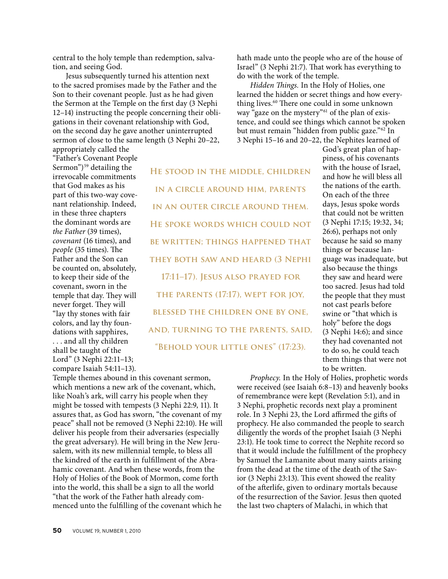central to the holy temple than redemption, salvation, and seeing God.

Jesus subsequently turned his attention next to the sacred promises made by the Father and the Son to their covenant people. Just as he had given the Sermon at the Temple on the first day (3 Nephi 12–14) instructing the people concerning their obligations in their covenant relationship with God, on the second day he gave another uninterrupted sermon of close to the same length (3 Nephi 20–22, appropriately called the

"Father's Covenant People Sermon") $59$  detailing the irrevocable commitments that God makes as his part of this two-way covenant relationship. Indeed, in these three chapters the dominant words are *the Father* (39 times), *covenant* (16 times), and *people* (35 times). The Father and the Son can be counted on, absolutely, to keep their side of the covenant, sworn in the temple that day. They will never forget. They will "lay thy stones with fair colors, and lay thy foundations with sapphires, . . . and all thy children shall be taught of the Lord" (3 Nephi 22:11–13; compare Isaiah 54:11–13).

**He stood in the middle, children in a circle around him, parents in an outer circle around them. He spoke words which could not be written; things happened that they both saw and heard (3 Nephi 17:11–17). Jesus also prayed for the parents (17:17), wept for joy, blessed the children one by one, and, turning to the parents, said, "Behold your little ones" (17:23).**

Temple themes abound in this covenant sermon, which mentions a new ark of the covenant, which, like Noah's ark, will carry his people when they might be tossed with tempests (3 Nephi 22:9, 11). It assures that, as God has sworn, "the covenant of my peace" shall not be removed (3 Nephi 22:10). He will deliver his people from their adversaries (especially the great adversary). He will bring in the New Jerusalem, with its new millennial temple, to bless all the kindred of the earth in fulfillment of the Abrahamic covenant. And when these words, from the Holy of Holies of the Book of Mormon, come forth into the world, this shall be a sign to all the world "that the work of the Father hath already commenced unto the fulfilling of the covenant which he

hath made unto the people who are of the house of Israel" (3 Nephi 21:7). That work has everything to do with the work of the temple.

*Hidden Things.* In the Holy of Holies, one learned the hidden or secret things and how everything lives.<sup>60</sup> There one could in some unknown way "gaze on the mystery"<sup>61</sup> of the plan of existence, and could see things which cannot be spoken but must remain "hidden from public gaze."62 In 3 Nephi 15–16 and 20–22, the Nephites learned of

> God's great plan of happiness, of his covenants with the house of Israel, and how he will bless all the nations of the earth. On each of the three days, Jesus spoke words that could not be written (3 Nephi 17:15; 19:32, 34; 26:6), perhaps not only because he said so many things or because language was inadequate, but also because the things they saw and heard were too sacred. Jesus had told the people that they must not cast pearls before swine or "that which is holy" before the dogs (3 Nephi 14:6); and since they had covenanted not to do so, he could teach them things that were not to be written.

*Prophecy.* In the Holy of Holies, prophetic words were received (see Isaiah 6:8–13) and heavenly books of remembrance were kept (Revelation 5:1), and in 3 Nephi, prophetic records next play a prominent role. In 3 Nephi 23, the Lord affirmed the gifts of prophecy. He also commanded the people to search diligently the words of the prophet Isaiah (3 Nephi 23:1). He took time to correct the Nephite record so that it would include the fulfillment of the prophecy by Samuel the Lamanite about many saints arising from the dead at the time of the death of the Savior (3 Nephi 23:13). This event showed the reality of the afterlife, given to ordinary mortals because of the resurrection of the Savior. Jesus then quoted the last two chapters of Malachi, in which that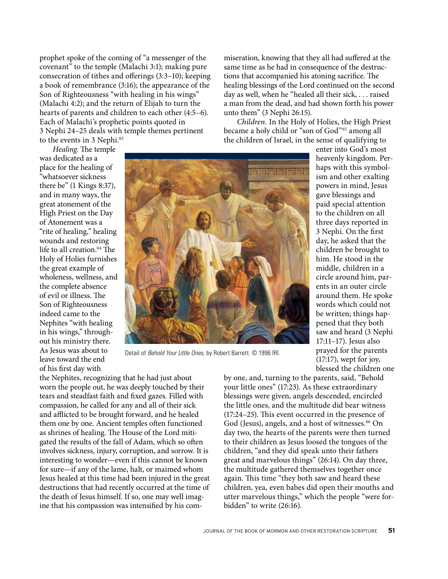prophet spoke of the coming of "a messenger of the covenant" to the temple (Malachi 3:1); making pure consecration of tithes and offerings (3:3–10); keeping a book of remembrance (3:16); the appearance of the Son of Righteousness "with healing in his wings" (Malachi 4:2); and the return of Elijah to turn the hearts of parents and children to each other (4:5–6). Each of Malachi's prophetic points quoted in 3 Nephi 24–25 deals with temple themes pertinent to the events in 3 Nephi.<sup>63</sup>

miseration, knowing that they all had suffered at the same time as he had in consequence of the destructions that accompanied his atoning sacrifice. The healing blessings of the Lord continued on the second day as well, when he "healed all their sick, . . . raised a man from the dead, and had shown forth his power unto them" (3 Nephi 26:15).

*Children.* In the Holy of Holies, the High Priest became a holy child or "son of God"65 among all the children of Israel, in the sense of qualifying to

> enter into God's most heavenly kingdom. Perhaps with this symbolism and other exalting powers in mind, Jesus gave blessings and paid special attention to the children on all three days reported in 3 Nephi. On the first day, he asked that the children be brought to him. He stood in the middle, children in a circle around him, parents in an outer circle around them. He spoke words which could not be written; things happened that they both saw and heard (3 Nephi 17:11–17). Jesus also prayed for the parents (17:17), wept for joy, blessed the children one

*Healing.* The temple was dedicated as a place for the healing of "whatsoever sickness there be" (1 Kings 8:37), and in many ways, the great atonement of the High Priest on the Day of Atonement was a "rite of healing," healing wounds and restoring life to all creation.<sup>64</sup> The Holy of Holies furnishes the great example of wholeness, wellness, and the complete absence of evil or illness. The Son of Righteousness indeed came to the Nephites "with healing in his wings," throughout his ministry there. As Jesus was about to leave toward the end of his first day with



Detail of *Behold Your Little Ones*, by Robert Barrett. © 1996 IRI.

the Nephites, recognizing that he had just about worn the people out, he was deeply touched by their tears and steadfast faith and fixed gazes. Filled with compassion, he called for any and all of their sick and afflicted to be brought forward, and he healed them one by one. Ancient temples often functioned as shrines of healing. The House of the Lord mitigated the results of the fall of Adam, which so often involves sickness, injury, corruption, and sorrow. It is interesting to wonder—even if this cannot be known for sure—if any of the lame, halt, or maimed whom Jesus healed at this time had been injured in the great destructions that had recently occurred at the time of the death of Jesus himself. If so, one may well imagine that his compassion was intensified by his comby one, and, turning to the parents, said, "Behold your little ones" (17:23). As these extraordinary blessings were given, angels descended, encircled the little ones, and the multitude did bear witness (17:24–25). This event occurred in the presence of God (Jesus), angels, and a host of witnesses.<sup>66</sup> On day two, the hearts of the parents were then turned to their children as Jesus loosed the tongues of the children, "and they did speak unto their fathers great and marvelous things" (26:14). On day three, the multitude gathered themselves together once again. This time "they both saw and heard these children, yea, even babes did open their mouths and utter marvelous things," which the people "were forbidden" to write (26:16).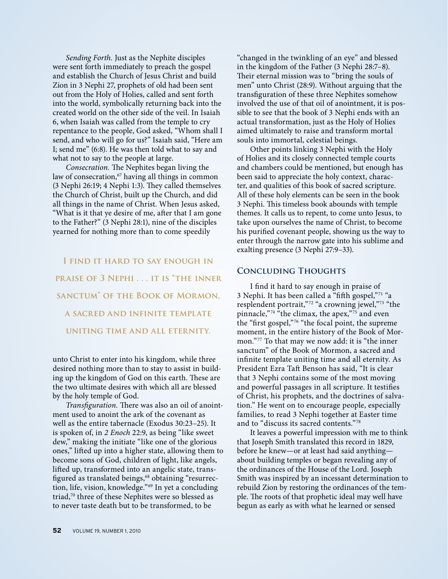*Sending Forth.* Just as the Nephite disciples were sent forth immediately to preach the gospel and establish the Church of Jesus Christ and build Zion in 3 Nephi 27, prophets of old had been sent out from the Holy of Holies, called and sent forth into the world, symbolically returning back into the created world on the other side of the veil. In Isaiah 6, when Isaiah was called from the temple to cry repentance to the people, God asked, "Whom shall I send, and who will go for us?" Isaiah said, "Here am I; send me" (6:8). He was then told what to say and what not to say to the people at large.

*Consecration.* The Nephites began living the law of consecration,<sup>67</sup> having all things in common (3 Nephi 26:19; 4 Nephi 1:3). They called themselves the Church of Christ, built up the Church, and did all things in the name of Christ. When Jesus asked, "What is it that ye desire of me, after that I am gone to the Father?" (3 Nephi 28:1), nine of the disciples yearned for nothing more than to come speedily

**I find it hard to say enough in praise of 3 Nephi . . . it is "the inner sanctum" of the Book of Mormon, a sacred and infinite template uniting time and all eternity.**

unto Christ to enter into his kingdom, while three desired nothing more than to stay to assist in building up the kingdom of God on this earth. These are the two ultimate desires with which all are blessed by the holy temple of God.

*Transfiguration.* There was also an oil of anointment used to anoint the ark of the covenant as well as the entire tabernacle (Exodus 30:23–25). It is spoken of, in *2 Enoch* 22:9, as being "like sweet dew," making the initiate "like one of the glorious ones," lifted up into a higher state, allowing them to become sons of God, children of light, like angels, lifted up, transformed into an angelic state, transfigured as translated beings,<sup>68</sup> obtaining "resurrection, life, vision, knowledge."69 In yet a concluding triad,<sup>70</sup> three of these Nephites were so blessed as to never taste death but to be transformed, to be

"changed in the twinkling of an eye" and blessed in the kingdom of the Father (3 Nephi 28:7–8). Their eternal mission was to "bring the souls of men" unto Christ (28:9). Without arguing that the transfiguration of these three Nephites somehow involved the use of that oil of anointment, it is possible to see that the book of 3 Nephi ends with an actual transformation, just as the Holy of Holies aimed ultimately to raise and transform mortal souls into immortal, celestial beings.

Other points linking 3 Nephi with the Holy of Holies and its closely connected temple courts and chambers could be mentioned, but enough has been said to appreciate the holy context, character, and qualities of this book of sacred scripture. All of these holy elements can be seen in the book 3 Nephi. This timeless book abounds with temple themes. It calls us to repent, to come unto Jesus, to take upon ourselves the name of Christ, to become his purified covenant people, showing us the way to enter through the narrow gate into his sublime and exalting presence (3 Nephi 27:9–33).

### **Concluding Thoughts**

I find it hard to say enough in praise of 3 Nephi. It has been called a "fifth gospel,"71 "a resplendent portrait,"72 "a crowning jewel,"73 "the pinnacle,"<sup>74</sup> "the climax, the apex,"<sup>75'</sup> and even the "first gospel,"76 "the focal point, the supreme moment, in the entire history of the Book of Mormon."77 To that may we now add: it is "the inner sanctum" of the Book of Mormon, a sacred and infinite template uniting time and all eternity. As President Ezra Taft Benson has said, "It is clear that 3 Nephi contains some of the most moving and powerful passages in all scripture. It testifies of Christ, his prophets, and the doctrines of salvation." He went on to encourage people, especially families, to read 3 Nephi together at Easter time and to "discuss its sacred contents."78

It leaves a powerful impression with me to think that Joseph Smith translated this record in 1829, before he knew—or at least had said anything about building temples or began revealing any of the ordinances of the House of the Lord. Joseph Smith was inspired by an incessant determination to rebuild Zion by restoring the ordinances of the temple. The roots of that prophetic ideal may well have begun as early as with what he learned or sensed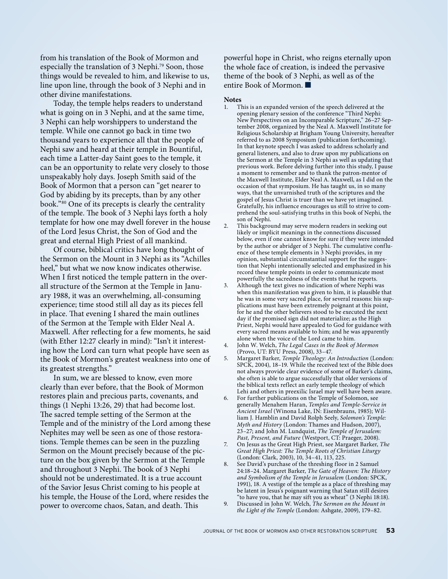from his translation of the Book of Mormon and especially the translation of 3 Nephi.<sup>79</sup> Soon, those things would be revealed to him, and likewise to us, line upon line, through the book of 3 Nephi and in other divine manifestations.

Today, the temple helps readers to understand what is going on in 3 Nephi, and at the same time, 3 Nephi can help worshippers to understand the temple. While one cannot go back in time two thousand years to experience all that the people of Nephi saw and heard at their temple in Bountiful, each time a Latter-day Saint goes to the temple, it can be an opportunity to relate very closely to those unspeakably holy days. Joseph Smith said of the Book of Mormon that a person can "get nearer to God by abiding by its precepts, than by any other book."80 One of its precepts is clearly the centrality of the temple. The book of 3 Nephi lays forth a holy template for how one may dwell forever in the house of the Lord Jesus Christ, the Son of God and the great and eternal High Priest of all mankind.

Of course, biblical critics have long thought of the Sermon on the Mount in 3 Nephi as its "Achilles heel," but what we now know indicates otherwise. When I first noticed the temple pattern in the overall structure of the Sermon at the Temple in January 1988, it was an overwhelming, all-consuming experience; time stood still all day as its pieces fell in place. That evening I shared the main outlines of the Sermon at the Temple with Elder Neal A. Maxwell. After reflecting for a few moments, he said (with Ether 12:27 clearly in mind): "Isn't it interesting how the Lord can turn what people have seen as the Book of Mormon's greatest weakness into one of its greatest strengths."

In sum, we are blessed to know, even more clearly than ever before, that the Book of Mormon restores plain and precious parts, covenants, and things (1 Nephi 13:26, 29) that had become lost. The sacred temple setting of the Sermon at the Temple and of the ministry of the Lord among these Nephites may well be seen as one of those restorations. Temple themes can be seen in the puzzling Sermon on the Mount precisely because of the picture on the box given by the Sermon at the Temple and throughout 3 Nephi. The book of 3 Nephi should not be underestimated. It is a true account of the Savior Jesus Christ coming to his people at his temple, the House of the Lord, where resides the power to overcome chaos, Satan, and death. This

powerful hope in Christ, who reigns eternally upon the whole face of creation, is indeed the pervasive theme of the book of 3 Nephi, as well as of the entire Book of Mormon.  $\blacksquare$ 

### **Notes**

- This is an expanded version of the speech delivered at the opening plenary session of the conference "Third Nephi: New Perspectives on an Incomparable Scripture," 26–27 September 2008, organized by the Neal A. Maxwell Institute for Religious Scholarship at Brigham Young University, hereafter referred to as 2008 Symposium (publication forthcoming). In that keynote speech  $\tilde{I}$  was asked to address scholarly and general listeners, and also to draw upon my publications on the Sermon at the Temple in 3 Nephi as well as updating that previous work. Before delving further into this study, I pause a moment to remember and to thank the patron-mentor of the Maxwell Institute, Elder Neal A. Maxwell, as I did on the occasion of that symposium. He has taught us, in so many ways, that the unvarnished truth of the scriptures and the gospel of Jesus Christ is truer than we have yet imagined. Gratefully, his influence encourages us still to strive to comprehend the soul-satisfying truths in this book of Nephi, the son of Nephi.
- 2. This background may serve modern readers in seeking out likely or implicit meanings in the connections discussed below, even if one cannot know for sure if they were intended by the author or abridger of 3 Nephi. The cumulative confluence of these temple elements in 3 Nephi provides, in my opinion, substantial circumstantial support for the suggestion that Nephi intentionally selected and emphasized in his record these temple points in order to communicate most powerfully the sacredness of the events that he reports.
- 3. Although the text gives no indication of where Nephi was when this manifestation was given to him, it is plausible that he was in some very sacred place, for several reasons: his supplications must have been extremely poignant at this point, for he and the other believers stood to be executed the next day if the promised sign did not materialize; as the High Priest, Nephi would have appealed to God for guidance with every sacred means available to him; and he was apparently alone when the voice of the Lord came to him.
- 4. John W. Welch, *The Legal Cases in the Book of Mormon* (Provo, UT: BYU Press, 2008), 33–47.
- 5. Margaret Barker, *Temple Theology: An Introduction* (London: SPCK, 2004), 18–19. While the received text of the Bible does not always provide clear evidence of some of Barker's claims, she often is able to argue successfully that older versions of the biblical texts reflect an early temple theology of which Lehi and others in preexilic Israel may well have been aware.
- 6. For further publications on the Temple of Solomon, see generally Menahem Haran, *Temples and Temple-Service in Ancient Israel* (Winona Lake, IN: Eisenbrauns, 1985); William J. Hamblin and David Rolph Seely, *Solomon's Temple: Myth and History* (London: Thames and Hudson, 2007), 23–27; and John M. Lundquist, *The Temple of Jerusalem: Past, Present, and Future* (Westport, CT: Praeger, 2008).
- 7. On Jesus as the Great High Priest, see Margaret Barker, *The Great High Priest: The Temple Roots of Christian Liturgy* (London: Clark, 2003), 10, 34–41, 113, 225.

8. See David's purchase of the threshing floor in 2 Samuel 24:18–24. Margaret Barker, *The Gate of Heaven: The History and Symbolism of the Temple in Jerusalem* (London: SPCK, 1991), 18. A vestige of the temple as a place of threshing may be latent in Jesus's poignant warning that Satan still desires "to have you, that he may sift you as wheat" (3 Nephi 18:18). 9. Discussed in John W. Welch, *The Sermon on the Mount in* 

*the Light of the Temple* (London: Ashgate, 2009), 179–82.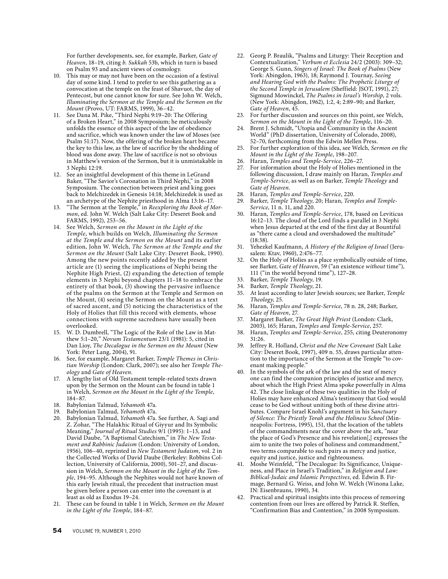For further developments, see, for example, Barker, *Gate of Heaven*, 18–19, citing *b. Sukkah* 53b, which in turn is based on Psalm 93 and ancient views of cosmology.

- 10. This may or may not have been on the occasion of a festival day of some kind. I tend to prefer to see this gathering as a convocation at the temple on the feast of Shavuot, the day of Pentecost, but one cannot know for sure. See John W. Welch, *Illuminating the Sermon at the Temple and the Sermon on the Mount* (Provo, UT: FARMS, 1999), 36–42.
- 11. See Dana M. Pike, "Third Nephi 9:19–20: The Offering of a Broken Heart," in 2008 Symposium; he meticulously unfolds the essence of this aspect of the law of obedience and sacrifice, which was known under the law of Moses (see Psalm 51:17). Now, the offering of the broken heart became the key to this law, as the law of sacrifice by the shedding of blood was done away. The law of sacrifice is not so obvious in Matthew's version of the Sermon, but it is unmistakable in 3 Nephi 12:19.
- 12. See an insightful development of this theme in LeGrand Baker, "The Savior's Coronation in Third Nephi," in 2008 Symposium. The connection between priest and king goes back to Melchizedek in Genesis 14:18; Melchizedek is used as an archetype of the Nephite priesthood in Alma 13:16–17.
- 13. "The Sermon at the Temple," in *Reexploring the Book of Mormon*, ed. John W. Welch (Salt Lake City: Deseret Book and FARMS, 1992), 253–56.
- 14. See Welch, *Sermon on the Mount in the Light of the Temple*, which builds on Welch, *Illuminating the Sermon at the Temple and the Sermon on the Mount* and its earlier edition, John W. Welch, *The Sermon at the Temple and the Sermon on the Mount* (Salt Lake City: Deseret Book, 1990). Among the new points recently added by the present article are (1) seeing the implications of Nephi being the Nephite High Priest, (2) expanding the detection of temple elements in 3 Nephi beyond chapters 11–18 to embrace the entirety of that book, (3) showing the pervasive influence of the psalms on the Sermon at the Temple and Sermon on the Mount, (4) seeing the Sermon on the Mount as a text of sacred ascent, and (5) noticing the characteristics of the Holy of Holies that fill this record with elements, whose connections with supreme sacredness have usually been overlooked.
- 15. W. D. Dumbrell, "The Logic of the Role of the Law in Matthew 5:1–20," *Novum Testamentum* 23/1 (1981): 5, cited in Dan Lioy, *The Decalogue in the Sermon on the Mount* (New York: Peter Lang, 2004), 91.
- See, for example, Margaret Barker, *Temple Themes in Christian Worship* (London: Clark, 2007); see also her *Temple Theology* and *Gate of Heaven*.
- 17. A lengthy list of Old Testament temple-related texts drawn upon by the Sermon on the Mount can be found in table 1 in Welch, *Sermon on the Mount in the Light of the Temple*, 184–87.
- 18. Babylonian Talmud, *Yebamoth* 47a.
- 19. Babylonian Talmud, *Yebamoth* 47a.
- 20. Babylonian Talmud, *Yebamoth* 47a. See further, A. Sagi and Z. Zohar, "The Halakhic Ritual of Giyyur and Its Symbolic Meaning," *Journal of Ritual Studies* 9/1 (1995): 1–13, and David Daube, "A Baptismal Catechism," in *The New Testament and Rabbinic Judaism* (London: University of London, 1956), 106–40, reprinted in *New Testament Judaism*, vol. 2 in the Collected Works of David Daube (Berkeley: Robbins Collection, University of California, 2000), 501–27, and discussion in Welch, *Sermon on the Mount in the Light of the Temple*, 194–95. Although the Nephites would not have known of this early Jewish ritual, the precedent that instruction must be given before a person can enter into the covenant is at least as old as Exodus 19–24.
- 21. These can be found in table 1 in Welch, *Sermon on the Mount in the Light of the Temple*, 184–87.
- 22. Georg P. Braulik, "Psalms and Liturgy: Their Reception and Contextualization," *Verbum et Ecclesia* 24/2 (2003): 309–32; George S. Gunn, *Singers of Israel: The Book of Psalms* (New York: Abingdon, 1963), 18; Raymond J. Tournay, *Seeing and Hearing God with the Psalms: The Prophetic Liturgy of the Second Temple in Jerusalem* (Sheffield: JSOT, 1991), 27; Sigmund Mowinckel, *The Psalms in Israel's Worship*, 2 vols. (New York: Abingdon, 1962), 1:2, 4; 2:89–90; and Barker, *Gate of Heaven*, 45.
- 23. For further discussion and sources on this point, see Welch, *Sermon on the Mount in the Light of the Temple*, 116–20.
- 24. Brent J. Schmidt, "Utopia and Community in the Ancient World" (PhD dissertation, University of Colorado, 2008), 52–70, forthcoming from the Edwin Mellen Press.
- 25. For further exploration of this idea, see Welch, *Sermon on the Mount in the Light of the Temple*, 198–207.
- 26. Haran, *Temples and Temple-Service*, 226–27.
- 27. For information about the Holy of Holies mentioned in the following discussion, I draw mainly on Haran, *Temples and Temple-Service*, as well as on Barker, *Temple Theology* and *Gate of Heaven*.
- 28. Haran, *Temples and Temple-Service*, 220.
- 29. Barker, *Temple Theology*, 20; Haran, *Temples and Temple-Service*, 11 n. 11, and 220.
- 30. Haran, *Temples and Temple-Service*, 178, based on Leviticus 16:12–13. The cloud of the Lord finds a parallel in 3 Nephi when Jesus departed at the end of the first day at Bountiful as "there came a cloud and overshadowed the multitude" (18:38).
- 31. Yehezkel Kaufmann, *A History of the Religion of Israel* (Jerusalem: Ktav, 1960), 2:476–77.
- 32. On the Holy of Holies as a place symbolically outside of time, see Barker, *Gate of Heaven*, 59 ("an existence *without* time"), 111 ("in the world beyond time"), 127–28.
- 33. Barker, *Temple Theology*, 19.
- 34. Barker, *Temple Theology*, 21.
- 35. At least according to later Jewish sources; see Barker, *Temple Theology*, 25.
- 36. Haran, *Temples and Temple-Service*, 78 n. 28, 248; Barker, *Gate of Heaven*, 27.
- 37. Margaret Barker, *The Great High Priest* (London: Clark, 2003), 165; Haran, *Temples and Temple-Service*, 257.
- 38. Haran, *Temples and Temple-Service*, 255, citing Deuteronomy 31:26.
- 39. Jeffrey R. Holland, *Christ and the New Covenant* (Salt Lake City: Deseret Book, 1997), 409 n. 55, draws particular attention to the importance of the Sermon at the Temple "to covenant making people."
- 40. In the symbols of the ark of the law and the seat of mercy one can find the companion principles of justice and mercy, about which the High Priest Alma spoke powerfully in Alma 42. The close linkage of these two qualities in the Holy of Holies may have enhanced Alma's testimony that God would cease to be God without uniting both of these divine attributes. Compare Israel Knohl's argument in his *Sanctuary of Silence: The Priestly Torah and the Holiness School* (Minneapolis: Fortress, 1995), 151, that the location of the tablets of the commandments near the cover above the ark, "near the place of God's Presence and his revelation[,] expresses the aim to unite the two poles of holiness and commandment," two terms comparable to such pairs as mercy and justice, equity and justice, justice and righteousness.
- 41. Moshe Weinfeld, "The Decalogue: Its Significance, Uniqueness, and Place in Israel's Tradition," in *Religion and Law: Biblical-Judaic and Islamic Perspectives*, ed. Edwin B. Firmage, Bernard G. Weiss, and John W. Welch (Winona Lake, IN: Eisenbrauns, 1990), 34.
- 42. Practical and spiritual insights into this process of removing contention from our lives are offered by Patrick R. Steffen, "Confirmation Bias and Contention," in 2008 Symposium.